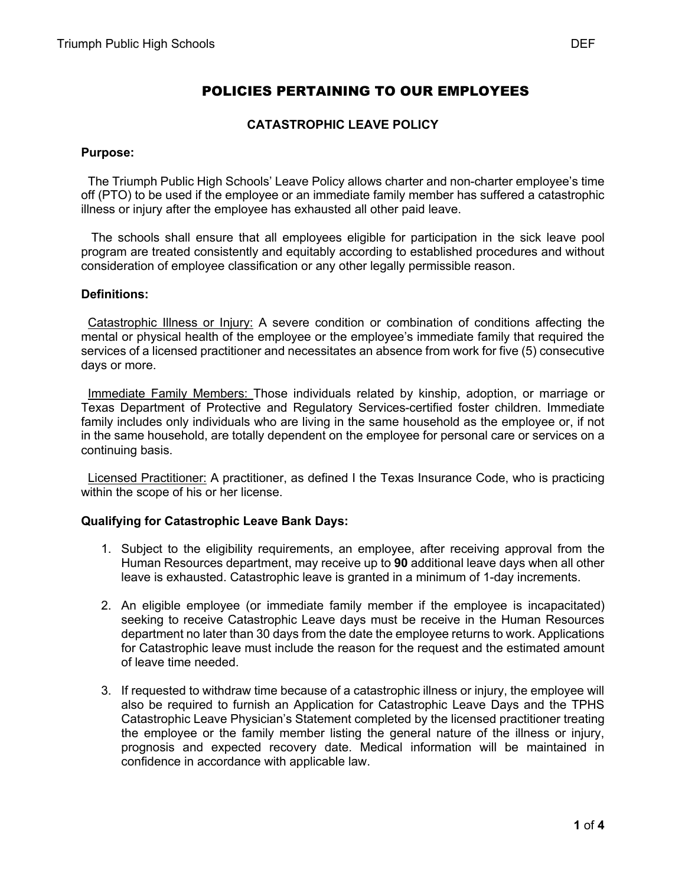# POLICIES PERTAINING TO OUR EMPLOYEES

# **CATASTROPHIC LEAVE POLICY**

## **Purpose:**

 The Triumph Public High Schools' Leave Policy allows charter and non-charter employee's time off (PTO) to be used if the employee or an immediate family member has suffered a catastrophic illness or injury after the employee has exhausted all other paid leave.

 The schools shall ensure that all employees eligible for participation in the sick leave pool program are treated consistently and equitably according to established procedures and without consideration of employee classification or any other legally permissible reason.

## **Definitions:**

 Catastrophic Illness or Injury: A severe condition or combination of conditions affecting the mental or physical health of the employee or the employee's immediate family that required the services of a licensed practitioner and necessitates an absence from work for five (5) consecutive days or more.

 Immediate Family Members: Those individuals related by kinship, adoption, or marriage or Texas Department of Protective and Regulatory Services-certified foster children. Immediate family includes only individuals who are living in the same household as the employee or, if not in the same household, are totally dependent on the employee for personal care or services on a continuing basis.

 Licensed Practitioner: A practitioner, as defined I the Texas Insurance Code, who is practicing within the scope of his or her license.

# **Qualifying for Catastrophic Leave Bank Days:**

- 1. Subject to the eligibility requirements, an employee, after receiving approval from the Human Resources department, may receive up to **90** additional leave days when all other leave is exhausted. Catastrophic leave is granted in a minimum of 1-day increments.
- 2. An eligible employee (or immediate family member if the employee is incapacitated) seeking to receive Catastrophic Leave days must be receive in the Human Resources department no later than 30 days from the date the employee returns to work. Applications for Catastrophic leave must include the reason for the request and the estimated amount of leave time needed.
- 3. If requested to withdraw time because of a catastrophic illness or injury, the employee will also be required to furnish an Application for Catastrophic Leave Days and the TPHS Catastrophic Leave Physician's Statement completed by the licensed practitioner treating the employee or the family member listing the general nature of the illness or injury, prognosis and expected recovery date. Medical information will be maintained in confidence in accordance with applicable law.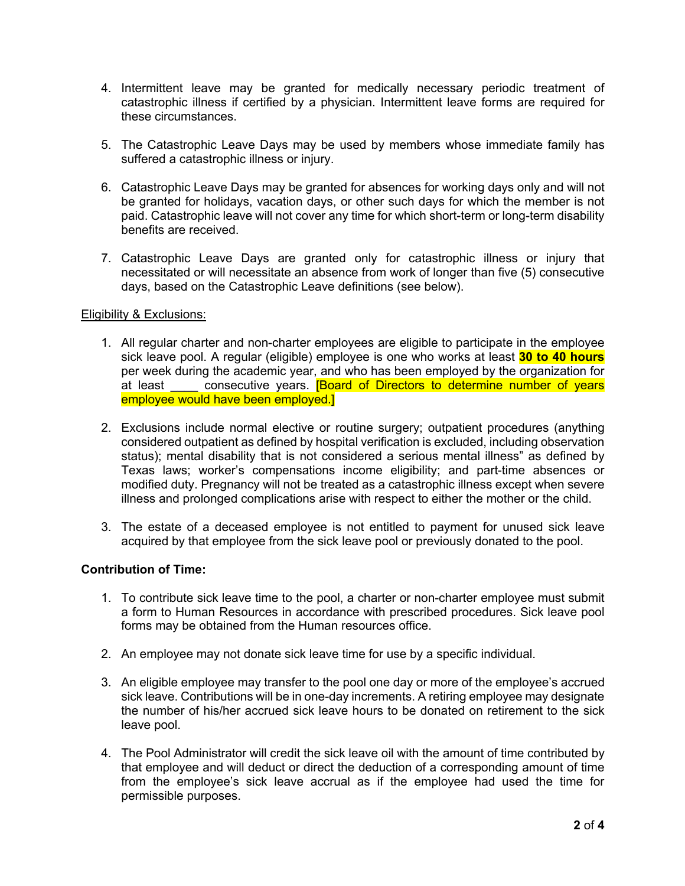- 4. Intermittent leave may be granted for medically necessary periodic treatment of catastrophic illness if certified by a physician. Intermittent leave forms are required for these circumstances.
- 5. The Catastrophic Leave Days may be used by members whose immediate family has suffered a catastrophic illness or injury.
- 6. Catastrophic Leave Days may be granted for absences for working days only and will not be granted for holidays, vacation days, or other such days for which the member is not paid. Catastrophic leave will not cover any time for which short-term or long-term disability benefits are received.
- 7. Catastrophic Leave Days are granted only for catastrophic illness or injury that necessitated or will necessitate an absence from work of longer than five (5) consecutive days, based on the Catastrophic Leave definitions (see below).

## Eligibility & Exclusions:

- 1. All regular charter and non-charter employees are eligible to participate in the employee sick leave pool. A regular (eligible) employee is one who works at least **30 to 40 hours** per week during the academic year, and who has been employed by the organization for at least consecutive years. **[Board of Directors to determine number of years** employee would have been employed.]
- 2. Exclusions include normal elective or routine surgery; outpatient procedures (anything considered outpatient as defined by hospital verification is excluded, including observation status); mental disability that is not considered a serious mental illness" as defined by Texas laws; worker's compensations income eligibility; and part-time absences or modified duty. Pregnancy will not be treated as a catastrophic illness except when severe illness and prolonged complications arise with respect to either the mother or the child.
- 3. The estate of a deceased employee is not entitled to payment for unused sick leave acquired by that employee from the sick leave pool or previously donated to the pool.

# **Contribution of Time:**

- 1. To contribute sick leave time to the pool, a charter or non-charter employee must submit a form to Human Resources in accordance with prescribed procedures. Sick leave pool forms may be obtained from the Human resources office.
- 2. An employee may not donate sick leave time for use by a specific individual.
- 3. An eligible employee may transfer to the pool one day or more of the employee's accrued sick leave. Contributions will be in one-day increments. A retiring employee may designate the number of his/her accrued sick leave hours to be donated on retirement to the sick leave pool.
- 4. The Pool Administrator will credit the sick leave oil with the amount of time contributed by that employee and will deduct or direct the deduction of a corresponding amount of time from the employee's sick leave accrual as if the employee had used the time for permissible purposes.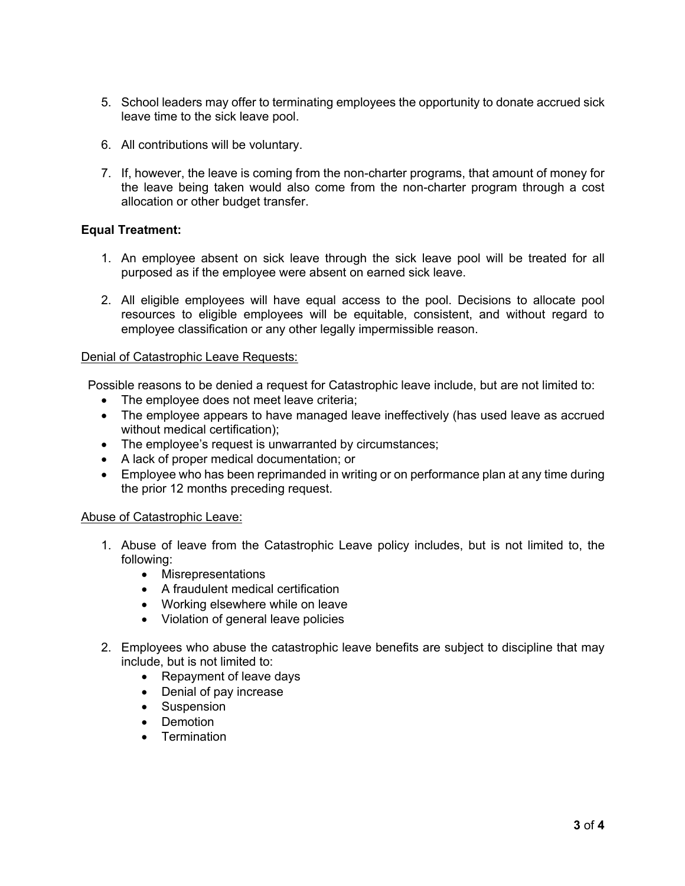- 5. School leaders may offer to terminating employees the opportunity to donate accrued sick leave time to the sick leave pool.
- 6. All contributions will be voluntary.
- 7. If, however, the leave is coming from the non-charter programs, that amount of money for the leave being taken would also come from the non-charter program through a cost allocation or other budget transfer.

## **Equal Treatment:**

- 1. An employee absent on sick leave through the sick leave pool will be treated for all purposed as if the employee were absent on earned sick leave.
- 2. All eligible employees will have equal access to the pool. Decisions to allocate pool resources to eligible employees will be equitable, consistent, and without regard to employee classification or any other legally impermissible reason.

#### Denial of Catastrophic Leave Requests:

Possible reasons to be denied a request for Catastrophic leave include, but are not limited to:

- The employee does not meet leave criteria;
- The employee appears to have managed leave ineffectively (has used leave as accrued without medical certification);
- The employee's request is unwarranted by circumstances;
- A lack of proper medical documentation; or
- Employee who has been reprimanded in writing or on performance plan at any time during the prior 12 months preceding request.

#### Abuse of Catastrophic Leave:

- 1. Abuse of leave from the Catastrophic Leave policy includes, but is not limited to, the following:
	- Misrepresentations
	- A fraudulent medical certification
	- Working elsewhere while on leave
	- Violation of general leave policies
- 2. Employees who abuse the catastrophic leave benefits are subject to discipline that may include, but is not limited to:
	- Repayment of leave days
	- Denial of pay increase
	- Suspension
	- Demotion
	- Termination